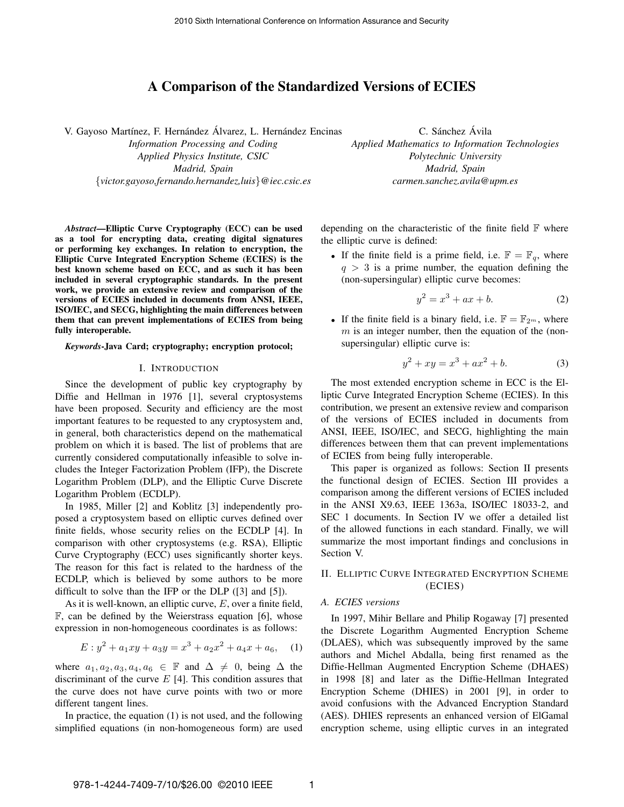# **A Comparison of the Standardized Versions of ECIES**

V. Gayoso Martínez, F. Hernández Álvarez, L. Hernández Encinas

*Information Processing and Coding Applied Physics Institute, CSIC Madrid, Spain* {*victor.gayoso,fernando.hernandez,luis*}*@iec.csic.es*

C. Sánchez Ávila *Applied Mathematics to Information Technologies Polytechnic University Madrid, Spain carmen.sanchez.avila@upm.es*

*Abstract***—Elliptic Curve Cryptography (ECC) can be used as a tool for encrypting data, creating digital signatures or performing key exchanges. In relation to encryption, the Elliptic Curve Integrated Encryption Scheme (ECIES) is the best known scheme based on ECC, and as such it has been included in several cryptographic standards. In the present work, we provide an extensive review and comparison of the versions of ECIES included in documents from ANSI, IEEE, ISO/IEC, and SECG, highlighting the main differences between them that can prevent implementations of ECIES from being fully interoperable.**

#### *Keywords***-Java Card; cryptography; encryption protocol;**

#### I. INTRODUCTION

Since the development of public key cryptography by Diffie and Hellman in 1976 [1], several cryptosystems have been proposed. Security and efficiency are the most important features to be requested to any cryptosystem and, in general, both characteristics depend on the mathematical problem on which it is based. The list of problems that are currently considered computationally infeasible to solve includes the Integer Factorization Problem (IFP), the Discrete Logarithm Problem (DLP), and the Elliptic Curve Discrete Logarithm Problem (ECDLP).

In 1985, Miller [2] and Koblitz [3] independently proposed a cryptosystem based on elliptic curves defined over finite fields, whose security relies on the ECDLP [4]. In comparison with other cryptosystems (e.g. RSA), Elliptic Curve Cryptography (ECC) uses significantly shorter keys. The reason for this fact is related to the hardness of the ECDLP, which is believed by some authors to be more difficult to solve than the IFP or the DLP ([3] and [5]).

As it is well-known, an elliptic curve,  $E$ , over a finite field,  $\mathbb{F}$ , can be defined by the Weierstrass equation [6], whose expression in non-homogeneous coordinates is as follows:

$$
E: y^2 + a_1xy + a_3y = x^3 + a_2x^2 + a_4x + a_6,
$$
 (1)

where  $a_1, a_2, a_3, a_4, a_6 \in \mathbb{F}$  and  $\Delta \neq 0$ , being  $\Delta$  the discriminant of the curve  $E$  [4]. This condition assures that the curve does not have curve points with two or more different tangent lines.

In practice, the equation (1) is not used, and the following simplified equations (in non-homogeneous form) are used depending on the characteristic of the finite field  $\mathbb F$  where the elliptic curve is defined:

• If the finite field is a prime field, i.e.  $\mathbb{F} = \mathbb{F}_q$ , where  $q > 3$  is a prime number, the equation defining the (non-supersingular) elliptic curve becomes:

$$
y^2 = x^3 + ax + b.\tag{2}
$$

• If the finite field is a binary field, i.e.  $\mathbb{F} = \mathbb{F}_{2^m}$ , where  $m$  is an integer number, then the equation of the (nonsupersingular) elliptic curve is:

$$
y^2 + xy = x^3 + ax^2 + b.
$$
 (3)

The most extended encryption scheme in ECC is the Elliptic Curve Integrated Encryption Scheme (ECIES). In this contribution, we present an extensive review and comparison of the versions of ECIES included in documents from ANSI, IEEE, ISO/IEC, and SECG, highlighting the main differences between them that can prevent implementations of ECIES from being fully interoperable.

This paper is organized as follows: Section II presents the functional design of ECIES. Section III provides a comparison among the different versions of ECIES included in the ANSI X9.63, IEEE 1363a, ISO/IEC 18033-2, and SEC 1 documents. In Section IV we offer a detailed list of the allowed functions in each standard. Finally, we will summarize the most important findings and conclusions in Section V.

## II. ELLIPTIC CURVE INTEGRATED ENCRYPTION SCHEME (ECIES)

#### *A. ECIES versions*

In 1997, Mihir Bellare and Philip Rogaway [7] presented the Discrete Logarithm Augmented Encryption Scheme (DLAES), which was subsequently improved by the same authors and Michel Abdalla, being first renamed as the Diffie-Hellman Augmented Encryption Scheme (DHAES) in 1998 [8] and later as the Diffie-Hellman Integrated Encryption Scheme (DHIES) in 2001 [9], in order to avoid confusions with the Advanced Encryption Standard (AES). DHIES represents an enhanced version of ElGamal encryption scheme, using elliptic curves in an integrated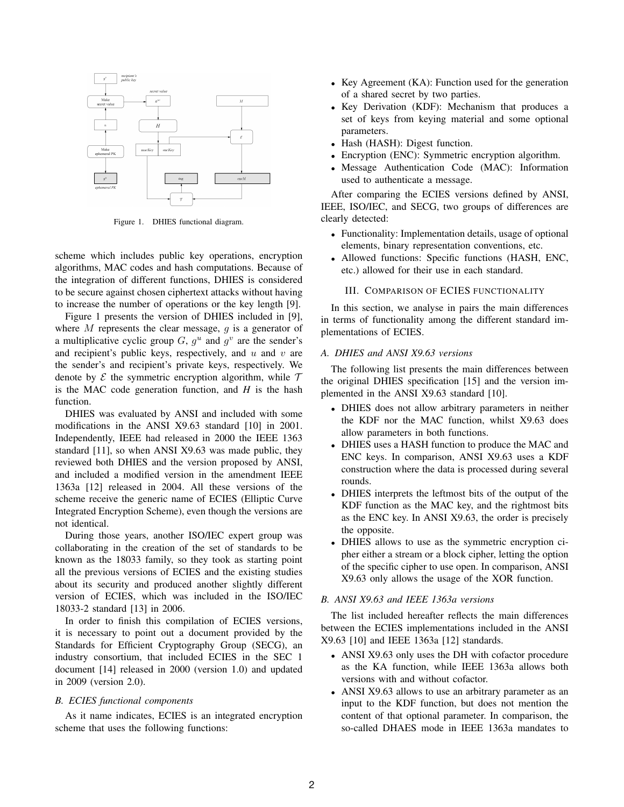

Figure 1. DHIES functional diagram.

scheme which includes public key operations, encryption algorithms, MAC codes and hash computations. Because of the integration of different functions, DHIES is considered to be secure against chosen ciphertext attacks without having to increase the number of operations or the key length [9].

Figure 1 presents the version of DHIES included in [9], where  $M$  represents the clear message,  $g$  is a generator of a multiplicative cyclic group  $G, g^u$  and  $g^v$  are the sender's and recipient's public keys, respectively, and  $u$  and  $v$  are the sender's and recipient's private keys, respectively. We denote by  $\mathcal E$  the symmetric encryption algorithm, while  $\mathcal T$ is the MAC code generation function, and *H* is the hash function.

DHIES was evaluated by ANSI and included with some modifications in the ANSI X9.63 standard [10] in 2001. Independently, IEEE had released in 2000 the IEEE 1363 standard [11], so when ANSI X9.63 was made public, they reviewed both DHIES and the version proposed by ANSI, and included a modified version in the amendment IEEE 1363a [12] released in 2004. All these versions of the scheme receive the generic name of ECIES (Elliptic Curve Integrated Encryption Scheme), even though the versions are not identical.

During those years, another ISO/IEC expert group was collaborating in the creation of the set of standards to be known as the 18033 family, so they took as starting point all the previous versions of ECIES and the existing studies about its security and produced another slightly different version of ECIES, which was included in the ISO/IEC 18033-2 standard [13] in 2006.

In order to finish this compilation of ECIES versions, it is necessary to point out a document provided by the Standards for Efficient Cryptography Group (SECG), an industry consortium, that included ECIES in the SEC 1 document [14] released in 2000 (version 1.0) and updated in 2009 (version 2.0).

### *B. ECIES functional components*

As it name indicates, ECIES is an integrated encryption scheme that uses the following functions:

- <sup>∙</sup> Key Agreement (KA): Function used for the generation of a shared secret by two parties.
- <sup>∙</sup> Key Derivation (KDF): Mechanism that produces a set of keys from keying material and some optional parameters.
- <sup>∙</sup> Hash (HASH): Digest function.
- <sup>∙</sup> Encryption (ENC): Symmetric encryption algorithm.
- <sup>∙</sup> Message Authentication Code (MAC): Information used to authenticate a message.

After comparing the ECIES versions defined by ANSI, IEEE, ISO/IEC, and SECG, two groups of differences are clearly detected:

- <sup>∙</sup> Functionality: Implementation details, usage of optional elements, binary representation conventions, etc.
- <sup>∙</sup> Allowed functions: Specific functions (HASH, ENC, etc.) allowed for their use in each standard.

# III. COMPARISON OF ECIES FUNCTIONALITY

In this section, we analyse in pairs the main differences in terms of functionality among the different standard implementations of ECIES.

# *A. DHIES and ANSI X9.63 versions*

The following list presents the main differences between the original DHIES specification [15] and the version implemented in the ANSI X9.63 standard [10].

- <sup>∙</sup> DHIES does not allow arbitrary parameters in neither the KDF nor the MAC function, whilst X9.63 does allow parameters in both functions.
- <sup>∙</sup> DHIES uses a HASH function to produce the MAC and ENC keys. In comparison, ANSI X9.63 uses a KDF construction where the data is processed during several rounds.
- <sup>∙</sup> DHIES interprets the leftmost bits of the output of the KDF function as the MAC key, and the rightmost bits as the ENC key. In ANSI X9.63, the order is precisely the opposite.
- <sup>∙</sup> DHIES allows to use as the symmetric encryption cipher either a stream or a block cipher, letting the option of the specific cipher to use open. In comparison, ANSI X9.63 only allows the usage of the XOR function.

### *B. ANSI X9.63 and IEEE 1363a versions*

The list included hereafter reflects the main differences between the ECIES implementations included in the ANSI X9.63 [10] and IEEE 1363a [12] standards.

- <sup>∙</sup> ANSI X9.63 only uses the DH with cofactor procedure as the KA function, while IEEE 1363a allows both versions with and without cofactor.
- <sup>∙</sup> ANSI X9.63 allows to use an arbitrary parameter as an input to the KDF function, but does not mention the content of that optional parameter. In comparison, the so-called DHAES mode in IEEE 1363a mandates to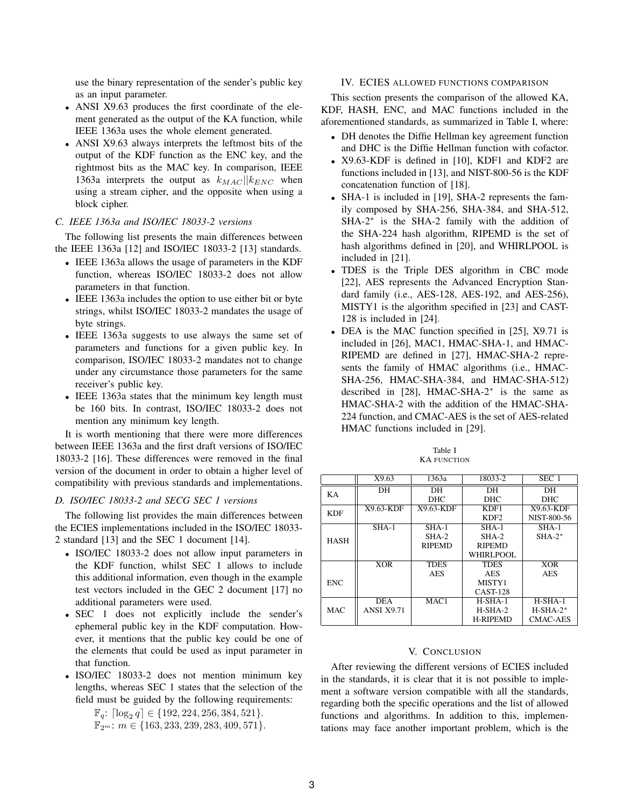use the binary representation of the sender's public key as an input parameter.

- <sup>∙</sup> ANSI X9.63 produces the first coordinate of the element generated as the output of the KA function, while IEEE 1363a uses the whole element generated.
- <sup>∙</sup> ANSI X9.63 always interprets the leftmost bits of the output of the KDF function as the ENC key, and the rightmost bits as the MAC key. In comparison, IEEE 1363a interprets the output as  $k_{MAC}$  | $|k_{ENC}$  when using a stream cipher, and the opposite when using a block cipher.

### *C. IEEE 1363a and ISO/IEC 18033-2 versions*

The following list presents the main differences between the IEEE 1363a [12] and ISO/IEC 18033-2 [13] standards.

- <sup>∙</sup> IEEE 1363a allows the usage of parameters in the KDF function, whereas ISO/IEC 18033-2 does not allow parameters in that function.
- <sup>∙</sup> IEEE 1363a includes the option to use either bit or byte strings, whilst ISO/IEC 18033-2 mandates the usage of byte strings.
- <sup>∙</sup> IEEE 1363a suggests to use always the same set of parameters and functions for a given public key. In comparison, ISO/IEC 18033-2 mandates not to change under any circumstance those parameters for the same receiver's public key.
- <sup>∙</sup> IEEE 1363a states that the minimum key length must be 160 bits. In contrast, ISO/IEC 18033-2 does not mention any minimum key length.

It is worth mentioning that there were more differences between IEEE 1363a and the first draft versions of ISO/IEC 18033-2 [16]. These differences were removed in the final version of the document in order to obtain a higher level of compatibility with previous standards and implementations.

# *D. ISO/IEC 18033-2 and SECG SEC 1 versions*

The following list provides the main differences between the ECIES implementations included in the ISO/IEC 18033- 2 standard [13] and the SEC 1 document [14].

- <sup>∙</sup> ISO/IEC 18033-2 does not allow input parameters in the KDF function, whilst SEC 1 allows to include this additional information, even though in the example test vectors included in the GEC 2 document [17] no additional parameters were used.
- <sup>∙</sup> SEC 1 does not explicitly include the sender's ephemeral public key in the KDF computation. However, it mentions that the public key could be one of the elements that could be used as input parameter in that function.
- <sup>∙</sup> ISO/IEC 18033-2 does not mention minimum key lengths, whereas SEC 1 states that the selection of the field must be guided by the following requirements:
	- $\mathbb{F}_q$ :  $\lceil \log_2 q \rceil \in \{192, 224, 256, 384, 521\}.$  $\mathbb{F}_{2^m}$ :  $m \in \{163, 233, 239, 283, 409, 571\}.$

### IV. ECIES ALLOWED FUNCTIONS COMPARISON

This section presents the comparison of the allowed KA, KDF, HASH, ENC, and MAC functions included in the aforementioned standards, as summarized in Table I, where:

- <sup>∙</sup> DH denotes the Diffie Hellman key agreement function and DHC is the Diffie Hellman function with cofactor.
- <sup>∙</sup> X9.63-KDF is defined in [10], KDF1 and KDF2 are functions included in [13], and NIST-800-56 is the KDF concatenation function of [18].
- <sup>∙</sup> SHA-1 is included in [19], SHA-2 represents the family composed by SHA-256, SHA-384, and SHA-512, SHA-2<sup>∗</sup> is the SHA-2 family with the addition of the SHA-224 hash algorithm, RIPEMD is the set of hash algorithms defined in [20], and WHIRLPOOL is included in [21].
- <sup>∙</sup> TDES is the Triple DES algorithm in CBC mode [22], AES represents the Advanced Encryption Standard family (i.e., AES-128, AES-192, and AES-256), MISTY1 is the algorithm specified in [23] and CAST-128 is included in [24].
- <sup>∙</sup> DEA is the MAC function specified in [25], X9.71 is included in [26], MAC1, HMAC-SHA-1, and HMAC-RIPEMD are defined in [27], HMAC-SHA-2 represents the family of HMAC algorithms (i.e., HMAC-SHA-256, HMAC-SHA-384, and HMAC-SHA-512) described in [28], HMAC-SHA-2<sup>∗</sup> is the same as HMAC-SHA-2 with the addition of the HMAC-SHA-224 function, and CMAC-AES is the set of AES-related HMAC functions included in [29].

| Table I            |
|--------------------|
| <b>KA FUNCTION</b> |

|             | X9.63             | 1363a         | 18033-2          | SEC 1           |
|-------------|-------------------|---------------|------------------|-----------------|
| KA          | DH                | DH            | DH               | DH              |
|             |                   | <b>DHC</b>    | <b>DHC</b>       | <b>DHC</b>      |
| <b>KDF</b>  | $X9.63-KDF$       | $X9.63-KDF$   | KDF1             | $X9.63-KDF$     |
|             |                   |               | KDF <sub>2</sub> | NIST-800-56     |
| <b>HASH</b> | $SHA-1$           | $SHA-1$       | $SHA-1$          | $SHA-1$         |
|             |                   | SHA-2         | $SHA-2$          | $SHA-2*$        |
|             |                   | <b>RIPEMD</b> | <b>RIPEMD</b>    |                 |
|             |                   |               | WHIRLPOOL        |                 |
|             | XOR               | <b>TDES</b>   | <b>TDES</b>      | <b>XOR</b>      |
|             |                   | <b>AES</b>    | <b>AES</b>       | <b>AES</b>      |
| <b>ENC</b>  |                   |               | MISTY1           |                 |
|             |                   |               | <b>CAST-128</b>  |                 |
| <b>MAC</b>  | <b>DEA</b>        | MAC1          | $H-SHA-1$        | $H-SHA-1$       |
|             | <b>ANSI X9.71</b> |               | $H-SHA-2$        | $H-SHA-2*$      |
|             |                   |               | <b>H-RIPEMD</b>  | <b>CMAC-AES</b> |

#### V. CONCLUSION

After reviewing the different versions of ECIES included in the standards, it is clear that it is not possible to implement a software version compatible with all the standards, regarding both the specific operations and the list of allowed functions and algorithms. In addition to this, implementations may face another important problem, which is the